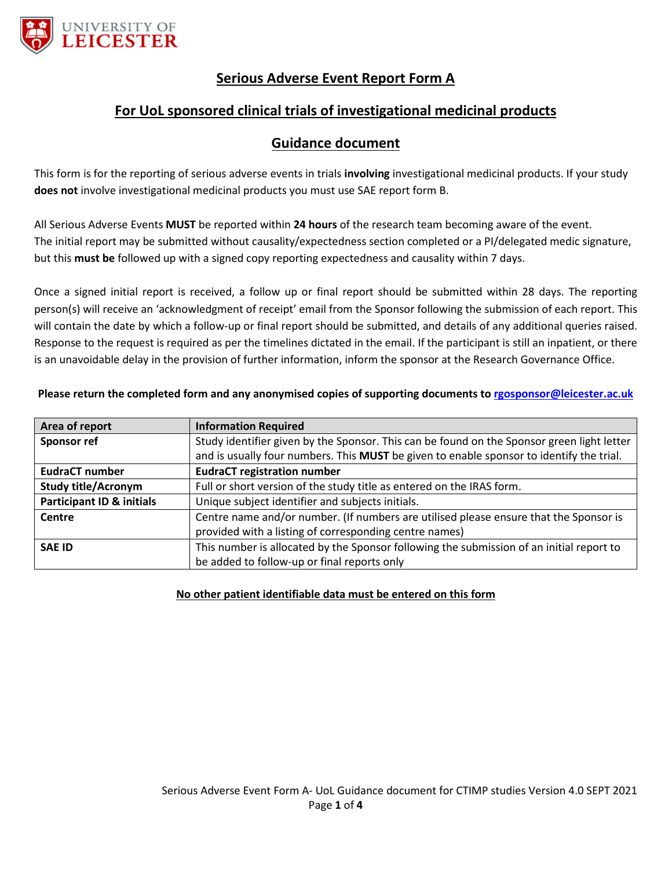

# **Serious Adverse Event Report Form A**

# **For UoL sponsored clinical trials of investigational medicinal products**

### **Guidance document**

This form is for the reporting of serious adverse events in trials **involving** investigational medicinal products. If your study **does not** involve investigational medicinal products you must use SAE report form B.

All Serious Adverse Events **MUST** be reported within **24 hours** of the research team becoming aware of the event. The initial report may be submitted without causality/expectedness section completed or a PI/delegated medic signature, but this **must be** followed up with a signed copy reporting expectedness and causality within 7 days.

Once a signed initial report is received, a follow up or final report should be submitted within 28 days. The reporting person(s) will receive an 'acknowledgment of receipt' email from the Sponsor following the submission of each report. This will contain the date by which a follow-up or final report should be submitted, and details of any additional queries raised. Response to the request is required as per the timelines dictated in the email. If the participant is still an inpatient, or there is an unavoidable delay in the provision of further information, inform the sponsor at the Research Governance Office.

| Area of report                       | <b>Information Required</b>                                                                |
|--------------------------------------|--------------------------------------------------------------------------------------------|
| <b>Sponsor ref</b>                   | Study identifier given by the Sponsor. This can be found on the Sponsor green light letter |
|                                      | and is usually four numbers. This MUST be given to enable sponsor to identify the trial.   |
| <b>EudraCT number</b>                | <b>EudraCT registration number</b>                                                         |
| <b>Study title/Acronym</b>           | Full or short version of the study title as entered on the IRAS form.                      |
| <b>Participant ID &amp; initials</b> | Unique subject identifier and subjects initials.                                           |
| Centre                               | Centre name and/or number. (If numbers are utilised please ensure that the Sponsor is      |
|                                      | provided with a listing of corresponding centre names)                                     |
| <b>SAE ID</b>                        | This number is allocated by the Sponsor following the submission of an initial report to   |
|                                      | be added to follow-up or final reports only                                                |

#### **Please return the completed form and any anonymised copies of supporting documents to [rgosponsor@leicester.ac.uk](mailto:rgosponsor@leicester.ac.uk)**

#### **No other patient identifiable data must be entered on this form**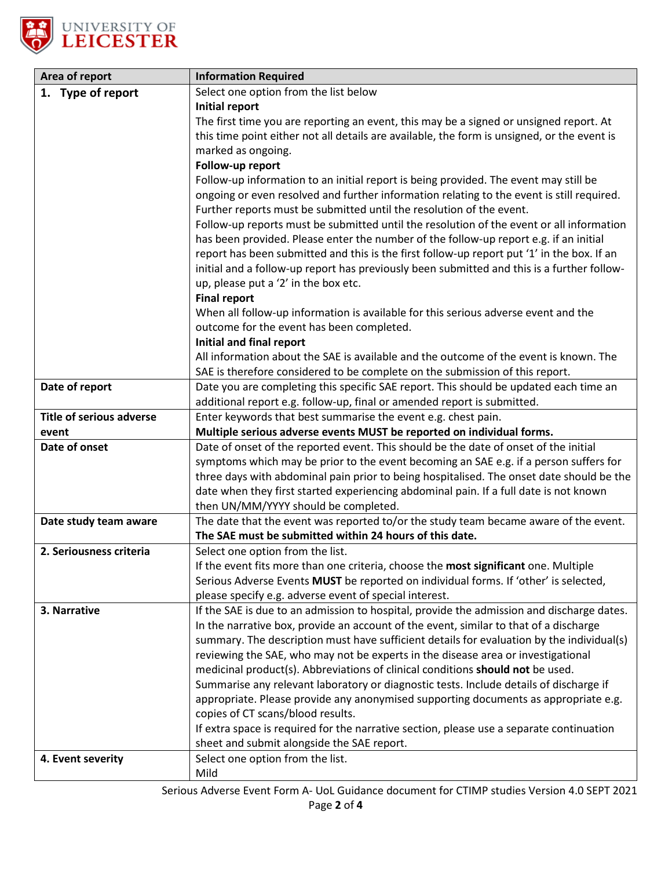

| Area of report                  | <b>Information Required</b>                                                                                                                                                         |
|---------------------------------|-------------------------------------------------------------------------------------------------------------------------------------------------------------------------------------|
| 1. Type of report               | Select one option from the list below                                                                                                                                               |
|                                 | Initial report                                                                                                                                                                      |
|                                 | The first time you are reporting an event, this may be a signed or unsigned report. At                                                                                              |
|                                 | this time point either not all details are available, the form is unsigned, or the event is                                                                                         |
|                                 | marked as ongoing.                                                                                                                                                                  |
|                                 | Follow-up report                                                                                                                                                                    |
|                                 | Follow-up information to an initial report is being provided. The event may still be                                                                                                |
|                                 | ongoing or even resolved and further information relating to the event is still required.                                                                                           |
|                                 | Further reports must be submitted until the resolution of the event.                                                                                                                |
|                                 | Follow-up reports must be submitted until the resolution of the event or all information                                                                                            |
|                                 | has been provided. Please enter the number of the follow-up report e.g. if an initial<br>report has been submitted and this is the first follow-up report put '1' in the box. If an |
|                                 | initial and a follow-up report has previously been submitted and this is a further follow-                                                                                          |
|                                 | up, please put a '2' in the box etc.                                                                                                                                                |
|                                 | <b>Final report</b>                                                                                                                                                                 |
|                                 | When all follow-up information is available for this serious adverse event and the                                                                                                  |
|                                 | outcome for the event has been completed.                                                                                                                                           |
|                                 | Initial and final report                                                                                                                                                            |
|                                 | All information about the SAE is available and the outcome of the event is known. The                                                                                               |
|                                 | SAE is therefore considered to be complete on the submission of this report.                                                                                                        |
| Date of report                  | Date you are completing this specific SAE report. This should be updated each time an                                                                                               |
|                                 | additional report e.g. follow-up, final or amended report is submitted.                                                                                                             |
| <b>Title of serious adverse</b> | Enter keywords that best summarise the event e.g. chest pain.                                                                                                                       |
| event                           | Multiple serious adverse events MUST be reported on individual forms.                                                                                                               |
| Date of onset                   | Date of onset of the reported event. This should be the date of onset of the initial                                                                                                |
|                                 | symptoms which may be prior to the event becoming an SAE e.g. if a person suffers for                                                                                               |
|                                 | three days with abdominal pain prior to being hospitalised. The onset date should be the                                                                                            |
|                                 | date when they first started experiencing abdominal pain. If a full date is not known<br>then UN/MM/YYYY should be completed.                                                       |
| Date study team aware           | The date that the event was reported to/or the study team became aware of the event.                                                                                                |
|                                 | The SAE must be submitted within 24 hours of this date.                                                                                                                             |
| 2. Seriousness criteria         | Select one option from the list.                                                                                                                                                    |
|                                 | If the event fits more than one criteria, choose the most significant one. Multiple                                                                                                 |
|                                 | Serious Adverse Events MUST be reported on individual forms. If 'other' is selected,                                                                                                |
|                                 | please specify e.g. adverse event of special interest.                                                                                                                              |
| 3. Narrative                    | If the SAE is due to an admission to hospital, provide the admission and discharge dates.                                                                                           |
|                                 | In the narrative box, provide an account of the event, similar to that of a discharge                                                                                               |
|                                 | summary. The description must have sufficient details for evaluation by the individual(s)                                                                                           |
|                                 | reviewing the SAE, who may not be experts in the disease area or investigational                                                                                                    |
|                                 | medicinal product(s). Abbreviations of clinical conditions should not be used.                                                                                                      |
|                                 | Summarise any relevant laboratory or diagnostic tests. Include details of discharge if                                                                                              |
|                                 | appropriate. Please provide any anonymised supporting documents as appropriate e.g.                                                                                                 |
|                                 | copies of CT scans/blood results.<br>If extra space is required for the narrative section, please use a separate continuation                                                       |
|                                 | sheet and submit alongside the SAE report.                                                                                                                                          |
| 4. Event severity               | Select one option from the list.                                                                                                                                                    |
|                                 | Mild                                                                                                                                                                                |
|                                 |                                                                                                                                                                                     |

Serious Adverse Event Form A- UoL Guidance document for CTIMP studies Version 4.0 SEPT 2021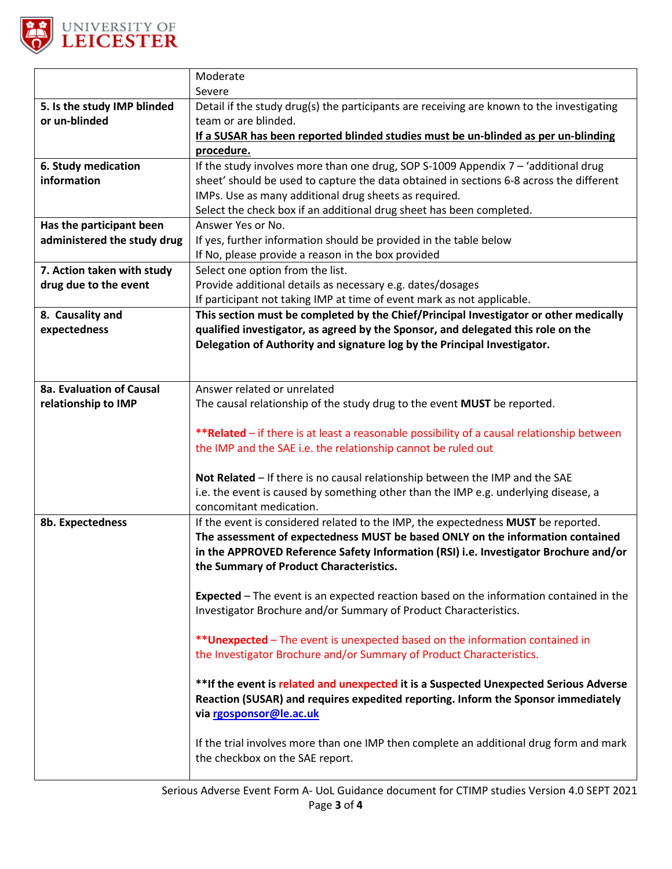

|                             | Moderate                                                                                      |
|-----------------------------|-----------------------------------------------------------------------------------------------|
|                             | Severe                                                                                        |
| 5. Is the study IMP blinded | Detail if the study drug(s) the participants are receiving are known to the investigating     |
| or un-blinded               | team or are blinded.                                                                          |
|                             | If a SUSAR has been reported blinded studies must be un-blinded as per un-blinding            |
|                             | <u>procedure.</u>                                                                             |
| 6. Study medication         | If the study involves more than one drug, SOP S-1009 Appendix $7 - 4$ additional drug         |
| information                 | sheet' should be used to capture the data obtained in sections 6-8 across the different       |
|                             | IMPs. Use as many additional drug sheets as required.                                         |
|                             | Select the check box if an additional drug sheet has been completed.                          |
| Has the participant been    | Answer Yes or No.                                                                             |
| administered the study drug | If yes, further information should be provided in the table below                             |
|                             | If No, please provide a reason in the box provided                                            |
| 7. Action taken with study  | Select one option from the list.                                                              |
| drug due to the event       | Provide additional details as necessary e.g. dates/dosages                                    |
|                             | If participant not taking IMP at time of event mark as not applicable.                        |
| 8. Causality and            | This section must be completed by the Chief/Principal Investigator or other medically         |
| expectedness                | qualified investigator, as agreed by the Sponsor, and delegated this role on the              |
|                             | Delegation of Authority and signature log by the Principal Investigator.                      |
|                             |                                                                                               |
|                             |                                                                                               |
| 8a. Evaluation of Causal    | Answer related or unrelated                                                                   |
| relationship to IMP         | The causal relationship of the study drug to the event MUST be reported.                      |
|                             |                                                                                               |
|                             | **Related - if there is at least a reasonable possibility of a causal relationship between    |
|                             | the IMP and the SAE i.e. the relationship cannot be ruled out                                 |
|                             |                                                                                               |
|                             | Not Related - If there is no causal relationship between the IMP and the SAE                  |
|                             | i.e. the event is caused by something other than the IMP e.g. underlying disease, a           |
|                             | concomitant medication.                                                                       |
| 8b. Expectedness            | If the event is considered related to the IMP, the expectedness MUST be reported.             |
|                             | The assessment of expectedness MUST be based ONLY on the information contained                |
|                             | in the APPROVED Reference Safety Information (RSI) i.e. Investigator Brochure and/or          |
|                             | the Summary of Product Characteristics.                                                       |
|                             | <b>Expected</b> – The event is an expected reaction based on the information contained in the |
|                             | Investigator Brochure and/or Summary of Product Characteristics.                              |
|                             |                                                                                               |
|                             | ** Unexpected - The event is unexpected based on the information contained in                 |
|                             | the Investigator Brochure and/or Summary of Product Characteristics.                          |
|                             |                                                                                               |
|                             | **If the event is related and unexpected it is a Suspected Unexpected Serious Adverse         |
|                             | Reaction (SUSAR) and requires expedited reporting. Inform the Sponsor immediately             |
|                             | via rgosponsor@le.ac.uk                                                                       |
|                             |                                                                                               |
|                             | If the trial involves more than one IMP then complete an additional drug form and mark        |
|                             | the checkbox on the SAE report.                                                               |
|                             |                                                                                               |